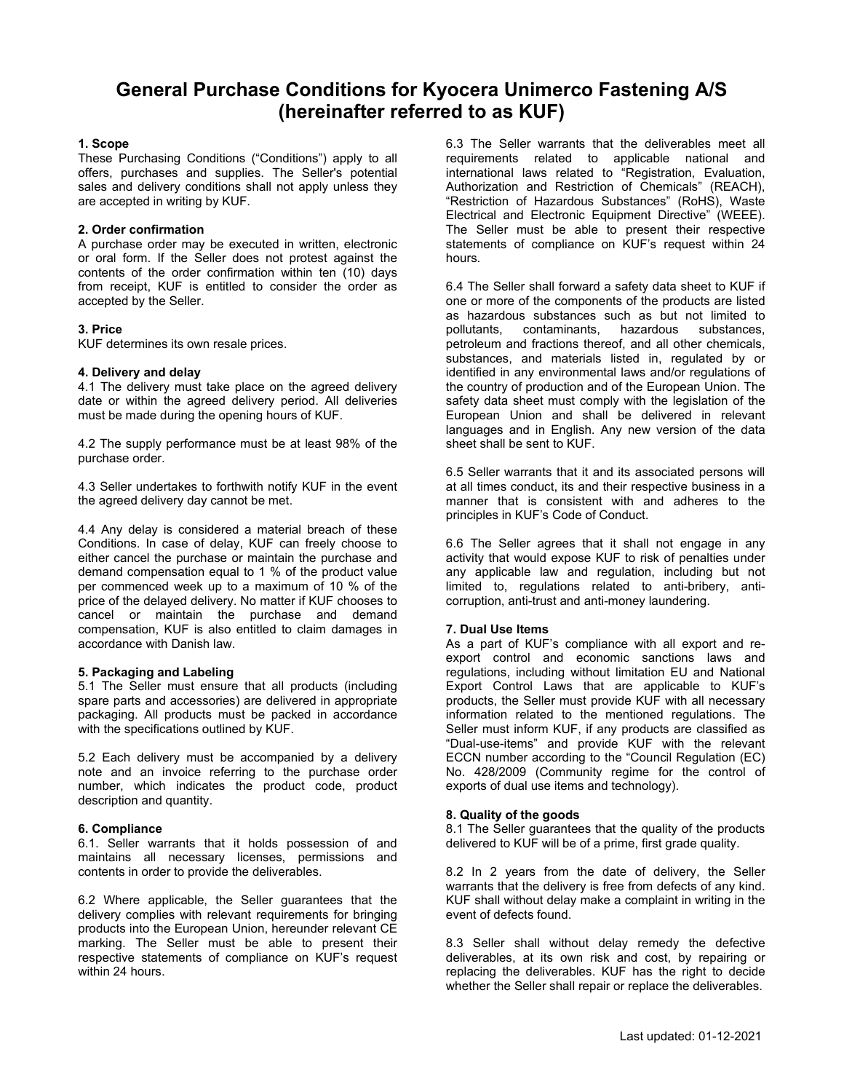# **General Purchase Conditions for Kyocera Unimerco Fastening A/S (hereinafter referred to as KUF)**

# **1. Scope**

These Purchasing Conditions ("Conditions") apply to all offers, purchases and supplies. The Seller's potential sales and delivery conditions shall not apply unless they are accepted in writing by KUF.

# **2. Order confirmation**

A purchase order may be executed in written, electronic or oral form. If the Seller does not protest against the contents of the order confirmation within ten (10) days from receipt, KUF is entitled to consider the order as accepted by the Seller.

# **3. Price**

KUF determines its own resale prices.

## **4. Delivery and delay**

4.1 The delivery must take place on the agreed delivery date or within the agreed delivery period. All deliveries must be made during the opening hours of KUF.

4.2 The supply performance must be at least 98% of the purchase order.

4.3 Seller undertakes to forthwith notify KUF in the event the agreed delivery day cannot be met.

4.4 Any delay is considered a material breach of these Conditions. In case of delay, KUF can freely choose to either cancel the purchase or maintain the purchase and demand compensation equal to 1 % of the product value per commenced week up to a maximum of 10 % of the price of the delayed delivery. No matter if KUF chooses to cancel or maintain the purchase and demand compensation, KUF is also entitled to claim damages in accordance with Danish law.

# **5. Packaging and Labeling**

5.1 The Seller must ensure that all products (including spare parts and accessories) are delivered in appropriate packaging. All products must be packed in accordance with the specifications outlined by KUF.

5.2 Each delivery must be accompanied by a delivery note and an invoice referring to the purchase order number, which indicates the product code, product description and quantity.

# **6. Compliance**

6.1. Seller warrants that it holds possession of and maintains all necessary licenses, permissions and contents in order to provide the deliverables.

6.2 Where applicable, the Seller guarantees that the delivery complies with relevant requirements for bringing products into the European Union, hereunder relevant CE marking. The Seller must be able to present their respective statements of compliance on KUF's request within 24 hours.

6.3 The Seller warrants that the deliverables meet all requirements related to applicable national and international laws related to "Registration, Evaluation, Authorization and Restriction of Chemicals" (REACH), "Restriction of Hazardous Substances" (RoHS), Waste Electrical and Electronic Equipment Directive" (WEEE). The Seller must be able to present their respective statements of compliance on KUF's request within 24 hours.

6.4 The Seller shall forward a safety data sheet to KUF if one or more of the components of the products are listed as hazardous substances such as but not limited to pollutants, contaminants, hazardous substances, contaminants, hazardous petroleum and fractions thereof, and all other chemicals, substances, and materials listed in, regulated by or identified in any environmental laws and/or regulations of the country of production and of the European Union. The safety data sheet must comply with the legislation of the European Union and shall be delivered in relevant languages and in English. Any new version of the data sheet shall be sent to KUF.

6.5 Seller warrants that it and its associated persons will at all times conduct, its and their respective business in a manner that is consistent with and adheres to the principles in KUF's Code of Conduct.

6.6 The Seller agrees that it shall not engage in any activity that would expose KUF to risk of penalties under any applicable law and regulation, including but not limited to, regulations related to anti-bribery, anticorruption, anti-trust and anti-money laundering.

#### **7. Dual Use Items**

As a part of KUF's compliance with all export and reexport control and economic sanctions laws and regulations, including without limitation EU and National Export Control Laws that are applicable to KUF's products, the Seller must provide KUF with all necessary information related to the mentioned regulations. The Seller must inform KUF, if any products are classified as "Dual-use-items" and provide KUF with the relevant ECCN number according to the "Council Regulation (EC) No. 428/2009 (Community regime for the control of exports of dual use items and technology).

#### **8. Quality of the goods**

8.1 The Seller guarantees that the quality of the products delivered to KUF will be of a prime, first grade quality.

8.2 In 2 years from the date of delivery, the Seller warrants that the delivery is free from defects of any kind. KUF shall without delay make a complaint in writing in the event of defects found.

8.3 Seller shall without delay remedy the defective deliverables, at its own risk and cost, by repairing or replacing the deliverables. KUF has the right to decide whether the Seller shall repair or replace the deliverables.